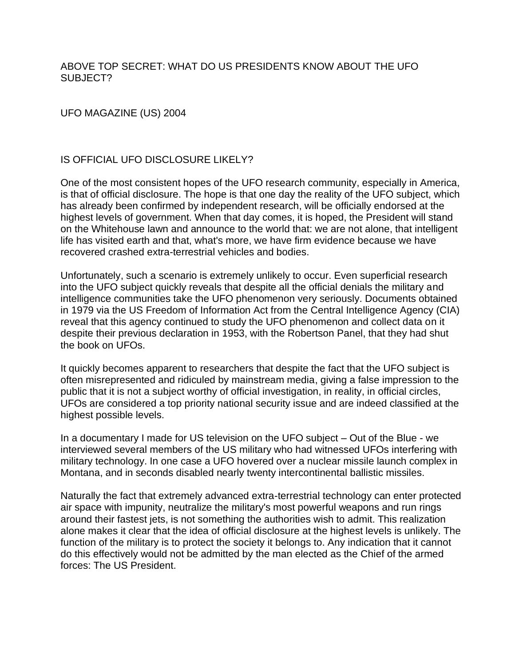## ABOVE TOP SECRET: WHAT DO US PRESIDENTS KNOW ABOUT THE UFO SUBJECT?

## UFO MAGAZINE (US) 2004

# IS OFFICIAL UFO DISCLOSURE LIKELY?

One of the most consistent hopes of the UFO research community, especially in America, is that of official disclosure. The hope is that one day the reality of the UFO subject, which has already been confirmed by independent research, will be officially endorsed at the highest levels of government. When that day comes, it is hoped, the President will stand on the Whitehouse lawn and announce to the world that: we are not alone, that intelligent life has visited earth and that, what's more, we have firm evidence because we have recovered crashed extra-terrestrial vehicles and bodies.

Unfortunately, such a scenario is extremely unlikely to occur. Even superficial research into the UFO subject quickly reveals that despite all the official denials the military and intelligence communities take the UFO phenomenon very seriously. Documents obtained in 1979 via the US Freedom of Information Act from the Central Intelligence Agency (CIA) reveal that this agency continued to study the UFO phenomenon and collect data on it despite their previous declaration in 1953, with the Robertson Panel, that they had shut the book on UFOs.

It quickly becomes apparent to researchers that despite the fact that the UFO subject is often misrepresented and ridiculed by mainstream media, giving a false impression to the public that it is not a subject worthy of official investigation, in reality, in official circles, UFOs are considered a top priority national security issue and are indeed classified at the highest possible levels.

In a documentary I made for US television on the UFO subject – Out of the Blue - we interviewed several members of the US military who had witnessed UFOs interfering with military technology. In one case a UFO hovered over a nuclear missile launch complex in Montana, and in seconds disabled nearly twenty intercontinental ballistic missiles.

Naturally the fact that extremely advanced extra-terrestrial technology can enter protected air space with impunity, neutralize the military's most powerful weapons and run rings around their fastest jets, is not something the authorities wish to admit. This realization alone makes it clear that the idea of official disclosure at the highest levels is unlikely. The function of the military is to protect the society it belongs to. Any indication that it cannot do this effectively would not be admitted by the man elected as the Chief of the armed forces: The US President.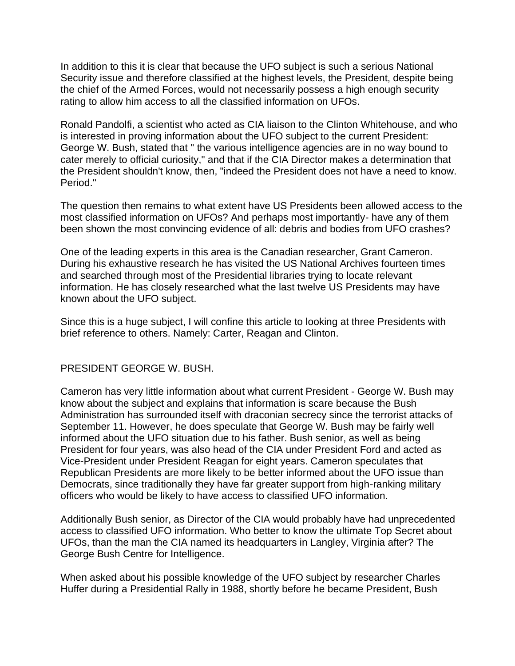In addition to this it is clear that because the UFO subject is such a serious National Security issue and therefore classified at the highest levels, the President, despite being the chief of the Armed Forces, would not necessarily possess a high enough security rating to allow him access to all the classified information on UFOs.

Ronald Pandolfi, a scientist who acted as CIA liaison to the Clinton Whitehouse, and who is interested in proving information about the UFO subject to the current President: George W. Bush, stated that " the various intelligence agencies are in no way bound to cater merely to official curiosity," and that if the CIA Director makes a determination that the President shouldn't know, then, "indeed the President does not have a need to know. Period."

The question then remains to what extent have US Presidents been allowed access to the most classified information on UFOs? And perhaps most importantly- have any of them been shown the most convincing evidence of all: debris and bodies from UFO crashes?

One of the leading experts in this area is the Canadian researcher, Grant Cameron. During his exhaustive research he has visited the US National Archives fourteen times and searched through most of the Presidential libraries trying to locate relevant information. He has closely researched what the last twelve US Presidents may have known about the UFO subject.

Since this is a huge subject, I will confine this article to looking at three Presidents with brief reference to others. Namely: Carter, Reagan and Clinton.

#### PRESIDENT GEORGE W. BUSH.

Cameron has very little information about what current President - George W. Bush may know about the subject and explains that information is scare because the Bush Administration has surrounded itself with draconian secrecy since the terrorist attacks of September 11. However, he does speculate that George W. Bush may be fairly well informed about the UFO situation due to his father. Bush senior, as well as being President for four years, was also head of the CIA under President Ford and acted as Vice-President under President Reagan for eight years. Cameron speculates that Republican Presidents are more likely to be better informed about the UFO issue than Democrats, since traditionally they have far greater support from high-ranking military officers who would be likely to have access to classified UFO information.

Additionally Bush senior, as Director of the CIA would probably have had unprecedented access to classified UFO information. Who better to know the ultimate Top Secret about UFOs, than the man the CIA named its headquarters in Langley, Virginia after? The George Bush Centre for Intelligence.

When asked about his possible knowledge of the UFO subject by researcher Charles Huffer during a Presidential Rally in 1988, shortly before he became President, Bush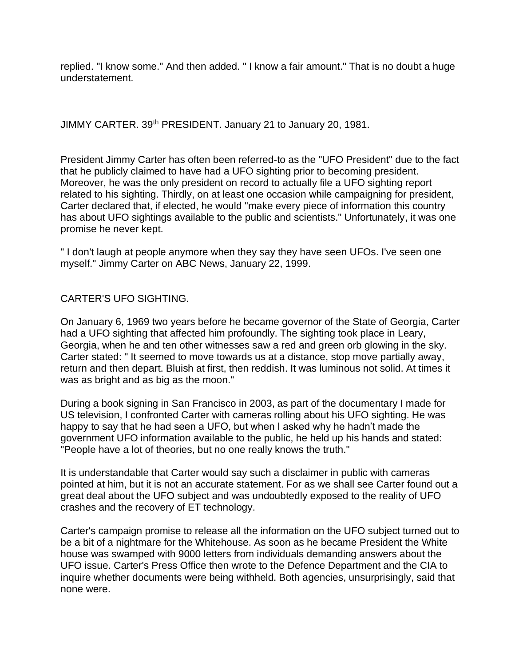replied. "I know some." And then added. " I know a fair amount." That is no doubt a huge understatement.

JIMMY CARTER. 39<sup>th</sup> PRESIDENT. January 21 to January 20, 1981.

President Jimmy Carter has often been referred-to as the "UFO President" due to the fact that he publicly claimed to have had a UFO sighting prior to becoming president. Moreover, he was the only president on record to actually file a UFO sighting report related to his sighting. Thirdly, on at least one occasion while campaigning for president, Carter declared that, if elected, he would "make every piece of information this country has about UFO sightings available to the public and scientists." Unfortunately, it was one promise he never kept.

" I don't laugh at people anymore when they say they have seen UFOs. I've seen one myself." Jimmy Carter on ABC News, January 22, 1999.

# CARTER'S UFO SIGHTING.

On January 6, 1969 two years before he became governor of the State of Georgia, Carter had a UFO sighting that affected him profoundly. The sighting took place in Leary, Georgia, when he and ten other witnesses saw a red and green orb glowing in the sky. Carter stated: " It seemed to move towards us at a distance, stop move partially away, return and then depart. Bluish at first, then reddish. It was luminous not solid. At times it was as bright and as big as the moon."

During a book signing in San Francisco in 2003, as part of the documentary I made for US television, I confronted Carter with cameras rolling about his UFO sighting. He was happy to say that he had seen a UFO, but when I asked why he hadn't made the government UFO information available to the public, he held up his hands and stated: "People have a lot of theories, but no one really knows the truth."

It is understandable that Carter would say such a disclaimer in public with cameras pointed at him, but it is not an accurate statement. For as we shall see Carter found out a great deal about the UFO subject and was undoubtedly exposed to the reality of UFO crashes and the recovery of ET technology.

Carter's campaign promise to release all the information on the UFO subject turned out to be a bit of a nightmare for the Whitehouse. As soon as he became President the White house was swamped with 9000 letters from individuals demanding answers about the UFO issue. Carter's Press Office then wrote to the Defence Department and the CIA to inquire whether documents were being withheld. Both agencies, unsurprisingly, said that none were.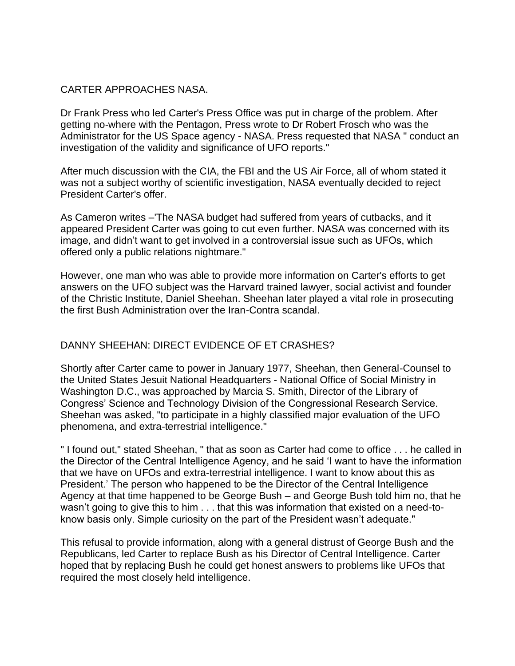## CARTER APPROACHES NASA.

Dr Frank Press who led Carter's Press Office was put in charge of the problem. After getting no-where with the Pentagon, Press wrote to Dr Robert Frosch who was the Administrator for the US Space agency - NASA. Press requested that NASA " conduct an investigation of the validity and significance of UFO reports."

After much discussion with the CIA, the FBI and the US Air Force, all of whom stated it was not a subject worthy of scientific investigation, NASA eventually decided to reject President Carter's offer.

As Cameron writes –'The NASA budget had suffered from years of cutbacks, and it appeared President Carter was going to cut even further. NASA was concerned with its image, and didn't want to get involved in a controversial issue such as UFOs, which offered only a public relations nightmare."

However, one man who was able to provide more information on Carter's efforts to get answers on the UFO subject was the Harvard trained lawyer, social activist and founder of the Christic Institute, Daniel Sheehan. Sheehan later played a vital role in prosecuting the first Bush Administration over the Iran-Contra scandal.

# DANNY SHEEHAN: DIRECT EVIDENCE OF ET CRASHES?

Shortly after Carter came to power in January 1977, Sheehan, then General-Counsel to the United States Jesuit National Headquarters - National Office of Social Ministry in Washington D.C., was approached by Marcia S. Smith, Director of the Library of Congress' Science and Technology Division of the Congressional Research Service. Sheehan was asked, "to participate in a highly classified major evaluation of the UFO phenomena, and extra-terrestrial intelligence."

" I found out," stated Sheehan, " that as soon as Carter had come to office . . . he called in the Director of the Central Intelligence Agency, and he said 'I want to have the information that we have on UFOs and extra-terrestrial intelligence. I want to know about this as President.' The person who happened to be the Director of the Central Intelligence Agency at that time happened to be George Bush – and George Bush told him no, that he wasn't going to give this to him . . . that this was information that existed on a need-toknow basis only. Simple curiosity on the part of the President wasn't adequate."

This refusal to provide information, along with a general distrust of George Bush and the Republicans, led Carter to replace Bush as his Director of Central Intelligence. Carter hoped that by replacing Bush he could get honest answers to problems like UFOs that required the most closely held intelligence.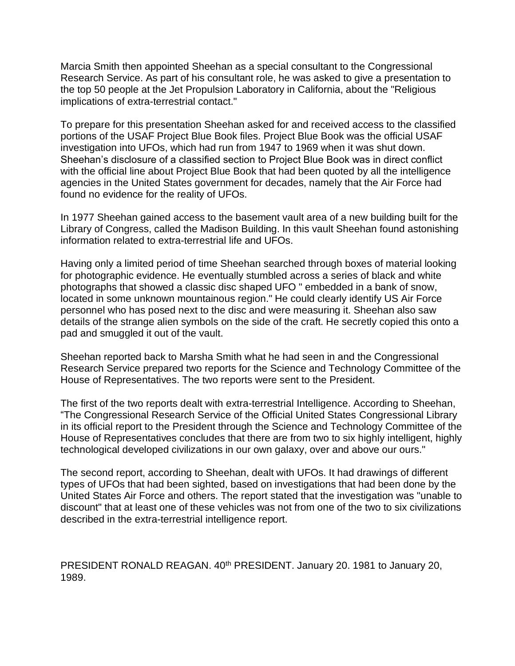Marcia Smith then appointed Sheehan as a special consultant to the Congressional Research Service. As part of his consultant role, he was asked to give a presentation to the top 50 people at the Jet Propulsion Laboratory in California, about the "Religious implications of extra-terrestrial contact."

To prepare for this presentation Sheehan asked for and received access to the classified portions of the USAF Project Blue Book files. Project Blue Book was the official USAF investigation into UFOs, which had run from 1947 to 1969 when it was shut down. Sheehan's disclosure of a classified section to Project Blue Book was in direct conflict with the official line about Project Blue Book that had been quoted by all the intelligence agencies in the United States government for decades, namely that the Air Force had found no evidence for the reality of UFOs.

In 1977 Sheehan gained access to the basement vault area of a new building built for the Library of Congress, called the Madison Building. In this vault Sheehan found astonishing information related to extra-terrestrial life and UFOs.

Having only a limited period of time Sheehan searched through boxes of material looking for photographic evidence. He eventually stumbled across a series of black and white photographs that showed a classic disc shaped UFO " embedded in a bank of snow, located in some unknown mountainous region." He could clearly identify US Air Force personnel who has posed next to the disc and were measuring it. Sheehan also saw details of the strange alien symbols on the side of the craft. He secretly copied this onto a pad and smuggled it out of the vault.

Sheehan reported back to Marsha Smith what he had seen in and the Congressional Research Service prepared two reports for the Science and Technology Committee of the House of Representatives. The two reports were sent to the President.

The first of the two reports dealt with extra-terrestrial Intelligence. According to Sheehan, "The Congressional Research Service of the Official United States Congressional Library in its official report to the President through the Science and Technology Committee of the House of Representatives concludes that there are from two to six highly intelligent, highly technological developed civilizations in our own galaxy, over and above our ours."

The second report, according to Sheehan, dealt with UFOs. It had drawings of different types of UFOs that had been sighted, based on investigations that had been done by the United States Air Force and others. The report stated that the investigation was "unable to discount" that at least one of these vehicles was not from one of the two to six civilizations described in the extra-terrestrial intelligence report.

PRESIDENT RONALD REAGAN. 40<sup>th</sup> PRESIDENT. January 20. 1981 to January 20, 1989.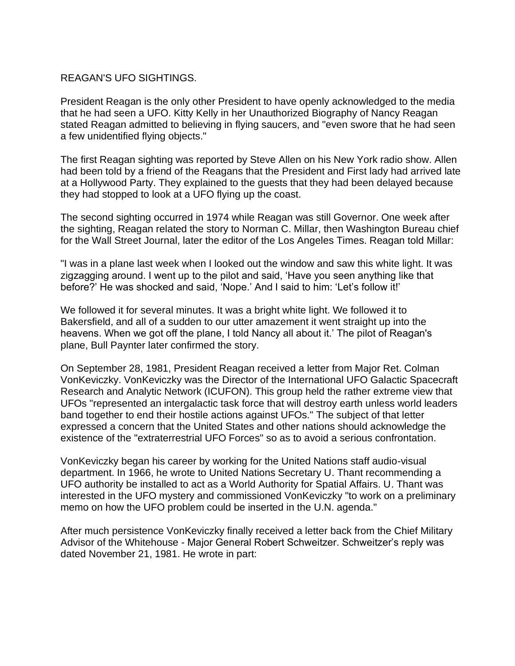#### REAGAN'S UFO SIGHTINGS.

President Reagan is the only other President to have openly acknowledged to the media that he had seen a UFO. Kitty Kelly in her Unauthorized Biography of Nancy Reagan stated Reagan admitted to believing in flying saucers, and "even swore that he had seen a few unidentified flying objects."

The first Reagan sighting was reported by Steve Allen on his New York radio show. Allen had been told by a friend of the Reagans that the President and First lady had arrived late at a Hollywood Party. They explained to the guests that they had been delayed because they had stopped to look at a UFO flying up the coast.

The second sighting occurred in 1974 while Reagan was still Governor. One week after the sighting, Reagan related the story to Norman C. Millar, then Washington Bureau chief for the Wall Street Journal, later the editor of the Los Angeles Times. Reagan told Millar:

"I was in a plane last week when I looked out the window and saw this white light. It was zigzagging around. I went up to the pilot and said, 'Have you seen anything like that before?' He was shocked and said, 'Nope.' And I said to him: 'Let's follow it!'

We followed it for several minutes. It was a bright white light. We followed it to Bakersfield, and all of a sudden to our utter amazement it went straight up into the heavens. When we got off the plane, I told Nancy all about it.' The pilot of Reagan's plane, Bull Paynter later confirmed the story.

On September 28, 1981, President Reagan received a letter from Major Ret. Colman VonKeviczky. VonKeviczky was the Director of the International UFO Galactic Spacecraft Research and Analytic Network (ICUFON). This group held the rather extreme view that UFOs "represented an intergalactic task force that will destroy earth unless world leaders band together to end their hostile actions against UFOs." The subject of that letter expressed a concern that the United States and other nations should acknowledge the existence of the "extraterrestrial UFO Forces" so as to avoid a serious confrontation.

VonKeviczky began his career by working for the United Nations staff audio-visual department. In 1966, he wrote to United Nations Secretary U. Thant recommending a UFO authority be installed to act as a World Authority for Spatial Affairs. U. Thant was interested in the UFO mystery and commissioned VonKeviczky "to work on a preliminary memo on how the UFO problem could be inserted in the U.N. agenda."

After much persistence VonKeviczky finally received a letter back from the Chief Military Advisor of the Whitehouse - Major General Robert Schweitzer. Schweitzer's reply was dated November 21, 1981. He wrote in part: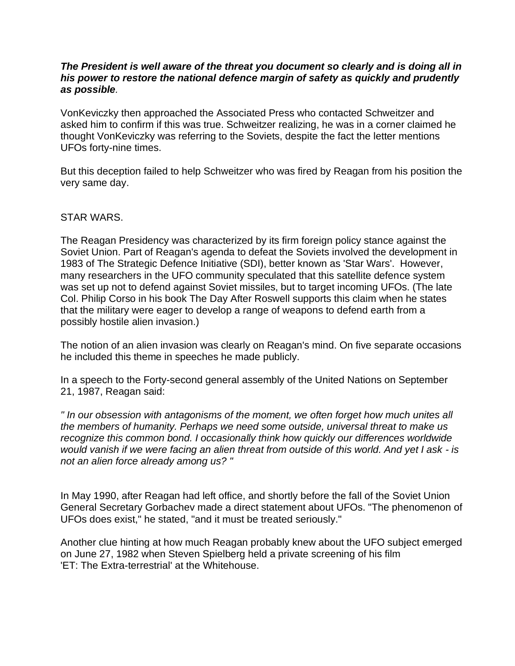#### *The President is well aware of the threat you document so clearly and is doing all in his power to restore the national defence margin of safety as quickly and prudently as possible.*

VonKeviczky then approached the Associated Press who contacted Schweitzer and asked him to confirm if this was true. Schweitzer realizing, he was in a corner claimed he thought VonKeviczky was referring to the Soviets, despite the fact the letter mentions UFOs forty-nine times.

But this deception failed to help Schweitzer who was fired by Reagan from his position the very same day.

#### STAR WARS.

The Reagan Presidency was characterized by its firm foreign policy stance against the Soviet Union. Part of Reagan's agenda to defeat the Soviets involved the development in 1983 of The Strategic Defence Initiative (SDI), better known as 'Star Wars'. However, many researchers in the UFO community speculated that this satellite defence system was set up not to defend against Soviet missiles, but to target incoming UFOs. (The late Col. Philip Corso in his book The Day After Roswell supports this claim when he states that the military were eager to develop a range of weapons to defend earth from a possibly hostile alien invasion.)

The notion of an alien invasion was clearly on Reagan's mind. On five separate occasions he included this theme in speeches he made publicly.

In a speech to the Forty-second general assembly of the United Nations on September 21, 1987, Reagan said:

*" In our obsession with antagonisms of the moment, we often forget how much unites all the members of humanity. Perhaps we need some outside, universal threat to make us recognize this common bond. I occasionally think how quickly our differences worldwide would vanish if we were facing an alien threat from outside of this world. And yet I ask - is not an alien force already among us? "*

In May 1990, after Reagan had left office, and shortly before the fall of the Soviet Union General Secretary Gorbachev made a direct statement about UFOs. "The phenomenon of UFOs does exist," he stated, "and it must be treated seriously."

Another clue hinting at how much Reagan probably knew about the UFO subject emerged on June 27, 1982 when Steven Spielberg held a private screening of his film 'ET: The Extra-terrestrial' at the Whitehouse.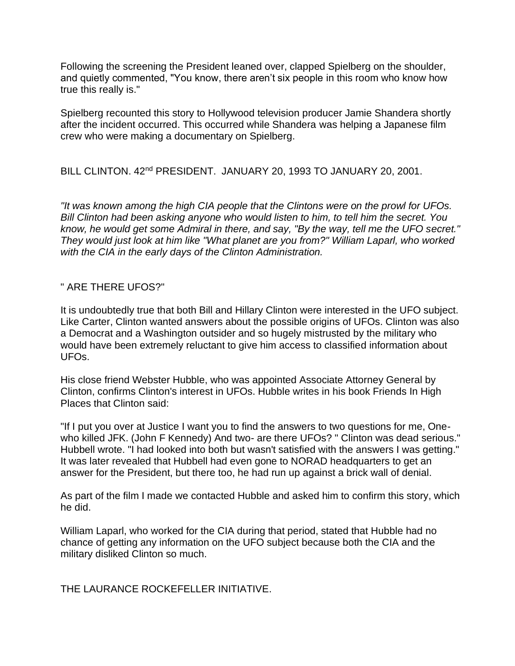Following the screening the President leaned over, clapped Spielberg on the shoulder, and quietly commented, "You know, there aren't six people in this room who know how true this really is."

Spielberg recounted this story to Hollywood television producer Jamie Shandera shortly after the incident occurred. This occurred while Shandera was helping a Japanese film crew who were making a documentary on Spielberg.

BILL CLINTON. 42nd PRESIDENT. JANUARY 20, 1993 TO JANUARY 20, 2001.

*"It was known among the high CIA people that the Clintons were on the prowl for UFOs. Bill Clinton had been asking anyone who would listen to him, to tell him the secret. You know, he would get some Admiral in there, and say, "By the way, tell me the UFO secret." They would just look at him like "What planet are you from?" William Laparl, who worked with the CIA in the early days of the Clinton Administration.*

#### " ARE THERE UFOS?"

It is undoubtedly true that both Bill and Hillary Clinton were interested in the UFO subject. Like Carter, Clinton wanted answers about the possible origins of UFOs. Clinton was also a Democrat and a Washington outsider and so hugely mistrusted by the military who would have been extremely reluctant to give him access to classified information about UFOs.

His close friend Webster Hubble, who was appointed Associate Attorney General by Clinton, confirms Clinton's interest in UFOs. Hubble writes in his book Friends In High Places that Clinton said:

"If I put you over at Justice I want you to find the answers to two questions for me, Onewho killed JFK. (John F Kennedy) And two- are there UFOs? " Clinton was dead serious." Hubbell wrote. "I had looked into both but wasn't satisfied with the answers I was getting." It was later revealed that Hubbell had even gone to NORAD headquarters to get an answer for the President, but there too, he had run up against a brick wall of denial.

As part of the film I made we contacted Hubble and asked him to confirm this story, which he did.

William Laparl, who worked for the CIA during that period, stated that Hubble had no chance of getting any information on the UFO subject because both the CIA and the military disliked Clinton so much.

THE LAURANCE ROCKEFFLLER INITIATIVE.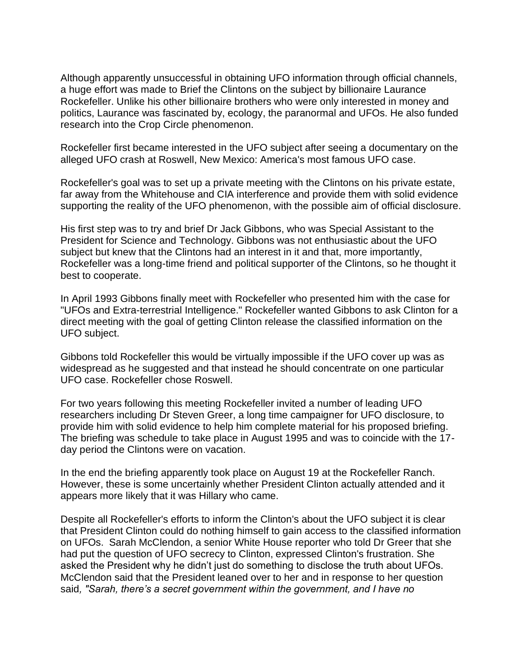Although apparently unsuccessful in obtaining UFO information through official channels, a huge effort was made to Brief the Clintons on the subject by billionaire Laurance Rockefeller. Unlike his other billionaire brothers who were only interested in money and politics, Laurance was fascinated by, ecology, the paranormal and UFOs. He also funded research into the Crop Circle phenomenon.

Rockefeller first became interested in the UFO subject after seeing a documentary on the alleged UFO crash at Roswell, New Mexico: America's most famous UFO case.

Rockefeller's goal was to set up a private meeting with the Clintons on his private estate, far away from the Whitehouse and CIA interference and provide them with solid evidence supporting the reality of the UFO phenomenon, with the possible aim of official disclosure.

His first step was to try and brief Dr Jack Gibbons, who was Special Assistant to the President for Science and Technology. Gibbons was not enthusiastic about the UFO subject but knew that the Clintons had an interest in it and that, more importantly, Rockefeller was a long-time friend and political supporter of the Clintons, so he thought it best to cooperate.

In April 1993 Gibbons finally meet with Rockefeller who presented him with the case for "UFOs and Extra-terrestrial Intelligence." Rockefeller wanted Gibbons to ask Clinton for a direct meeting with the goal of getting Clinton release the classified information on the UFO subject.

Gibbons told Rockefeller this would be virtually impossible if the UFO cover up was as widespread as he suggested and that instead he should concentrate on one particular UFO case. Rockefeller chose Roswell.

For two years following this meeting Rockefeller invited a number of leading UFO researchers including Dr Steven Greer, a long time campaigner for UFO disclosure, to provide him with solid evidence to help him complete material for his proposed briefing. The briefing was schedule to take place in August 1995 and was to coincide with the 17 day period the Clintons were on vacation.

In the end the briefing apparently took place on August 19 at the Rockefeller Ranch. However, these is some uncertainly whether President Clinton actually attended and it appears more likely that it was Hillary who came.

Despite all Rockefeller's efforts to inform the Clinton's about the UFO subject it is clear that President Clinton could do nothing himself to gain access to the classified information on UFOs. Sarah McClendon, a senior White House reporter who told Dr Greer that she had put the question of UFO secrecy to Clinton, expressed Clinton's frustration. She asked the President why he didn't just do something to disclose the truth about UFOs. McClendon said that the President leaned over to her and in response to her question said*, "Sarah, there's a secret government within the government, and I have no*